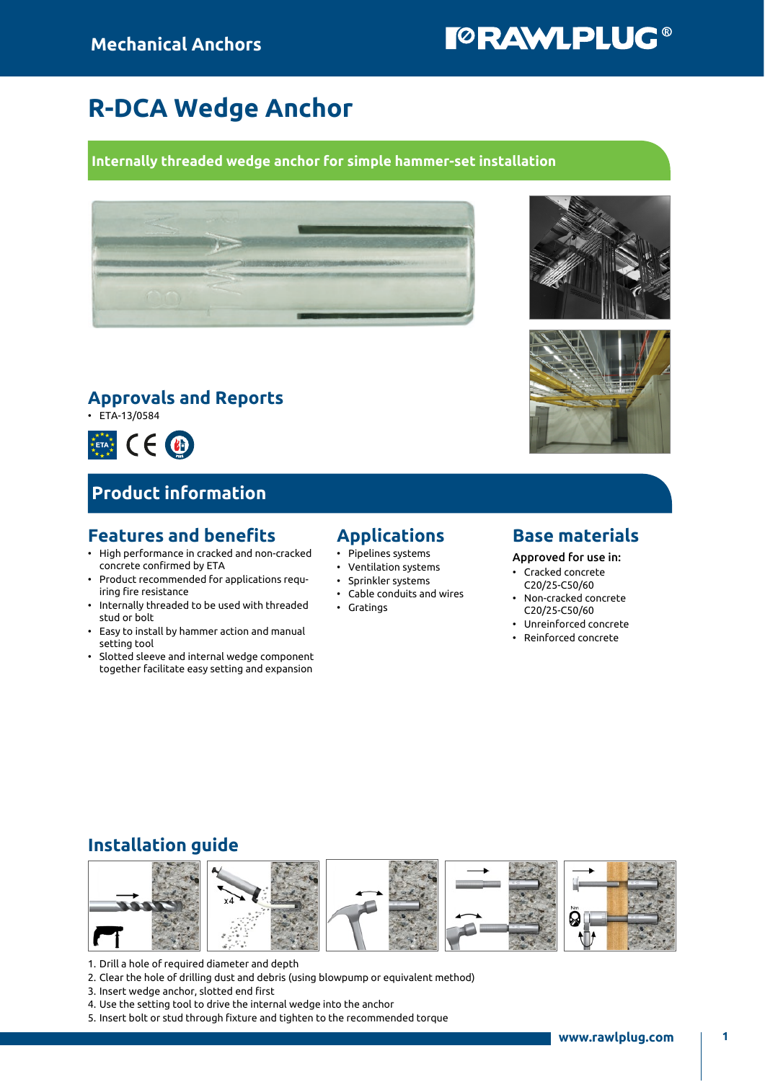# **TORAWLPLUG®**

## R-DCA Wedge Anchor

#### Internally threaded wedge anchor for simple hammer-set installation



### Approvals and Reports

• ETA-13/0584



## Product information

### Features and benefits

- High performance in cracked and non-cracked concrete confirmed by ETA
- Product recommended for applications requiring fire resistance
- Internally threaded to be used with threaded stud or bolt
- Easy to install by hammer action and manual setting tool
- Slotted sleeve and internal wedge component together facilitate easy setting and expansion

#### Applications

- Pipelines systems
- Ventilation systems
- Sprinkler systems
- Cable conduits and wires
- Gratings
- 



Approved for use in:

- Cracked concrete C20/25-C50/60
- Non-cracked concrete C20/25-C50/60 • Unreinforced concrete
- Reinforced concrete

## Installation guide



- 1. Drill a hole of required diameter and depth
- 2. Clear the hole of drilling dust and debris (using blowpump or equivalent method)
- 3. Insert wedge anchor, slotted end first
- 4. Use the setting tool to drive the internal wedge into the anchor
- 5. Insert bolt or stud through fixture and tighten to the recommended torque



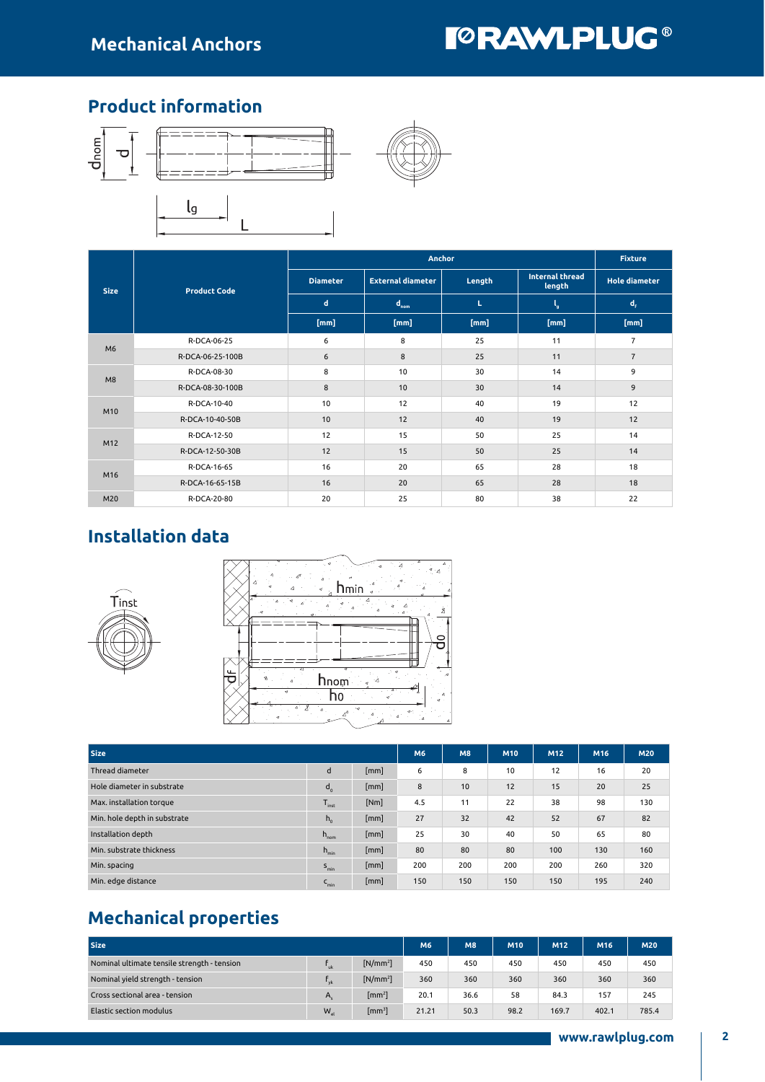## **TORAWLPLUG®**

### Product information



|             |                     |                 | <b>Anchor</b>            |        | <b>Fixture</b>                   |                         |
|-------------|---------------------|-----------------|--------------------------|--------|----------------------------------|-------------------------|
| <b>Size</b> | <b>Product Code</b> | <b>Diameter</b> | <b>External diameter</b> | Length | <b>Internal thread</b><br>length | <b>Hole diameter</b>    |
|             |                     | $\mathbf d$     | $d_{nom}$                | L      | ۰,                               | $\mathbf{d}_{\epsilon}$ |
|             |                     | [mm]            | [mm]                     | [mm]   | [mm]                             | [mm]                    |
| M6          | R-DCA-06-25         | 6               | 8                        | 25     | 11                               | $\overline{7}$          |
|             | R-DCA-06-25-100B    | 6               | 8                        | 25     | 11                               | $\overline{7}$          |
| M8          | R-DCA-08-30         | 8               | 10                       | 30     | 14                               | 9                       |
|             | R-DCA-08-30-100B    | 8               | 10                       | 30     | 14                               | 9                       |
| M10         | R-DCA-10-40         | 10              | 12                       | 40     | 19                               | 12                      |
|             | R-DCA-10-40-50B     | 10              | 12                       | 40     | 19                               | 12                      |
| M12         | R-DCA-12-50         | 12              | 15                       | 50     | 25                               | 14                      |
|             | R-DCA-12-50-30B     | 12              | 15                       | 50     | 25                               | 14                      |
| M16         | R-DCA-16-65         | 16              | 20                       | 65     | 28                               | 18                      |
|             | R-DCA-16-65-15B     | 16              | 20                       | 65     | 28                               | 18                      |
| M20         | R-DCA-20-80         | 20              | 25                       | 80     | 38                               | 22                      |

## Installation data





| <b>Size</b>                  | <b>M6</b>        | M8   | M10 | M12 | M16 | <b>M20</b> |     |     |
|------------------------------|------------------|------|-----|-----|-----|------------|-----|-----|
| Thread diameter              | d                | [mm] | 6   | 8   | 10  | 12         | 16  | 20  |
| Hole diameter in substrate   | $d_{o}$          | [mm] | 8   | 10  | 12  | 15         | 20  | 25  |
| Max. installation torque     | $T_{inst}$       | [Nm] | 4.5 | 11  | 22  | 38         | 98  | 130 |
| Min. hole depth in substrate | $h_{0}$          | [mm] | 27  | 32  | 42  | 52         | 67  | 82  |
| Installation depth           | $h_{\text{nom}}$ | [mm] | 25  | 30  | 40  | 50         | 65  | 80  |
| Min. substrate thickness     | $h_{\min}$       | [mm] | 80  | 80  | 80  | 100        | 130 | 160 |
| Min. spacing                 | $S_{\text{min}}$ | [mm] | 200 | 200 | 200 | 200        | 260 | 320 |
| Min. edge distance           | $C_{min}$        | [mm] | 150 | 150 | 150 | 150        | 195 | 240 |

## Mechanical properties

| <b>Size</b>                                 | M <sub>6</sub> | <b>M8</b>                  | M10   | M <sub>12</sub> | M16  | M20   |       |       |
|---------------------------------------------|----------------|----------------------------|-------|-----------------|------|-------|-------|-------|
| Nominal ultimate tensile strength - tension | uk             | $[N/mm^2]$                 | 450   | 450             | 450  | 450   | 450   | 450   |
| Nominal yield strength - tension            | vk             | $[N/mm^2]$                 | 360   | 360             | 360  | 360   | 360   | 360   |
| Cross sectional area - tension              | А              | $\left[\text{mm}^2\right]$ | 20.1  | 36.6            | 58   | 84.3  | 157   | 245   |
| Elastic section modulus                     | $W_{\rm el}$   | $\left[\text{mm}^3\right]$ | 21.21 | 50.3            | 98.2 | 169.7 | 402.1 | 785.4 |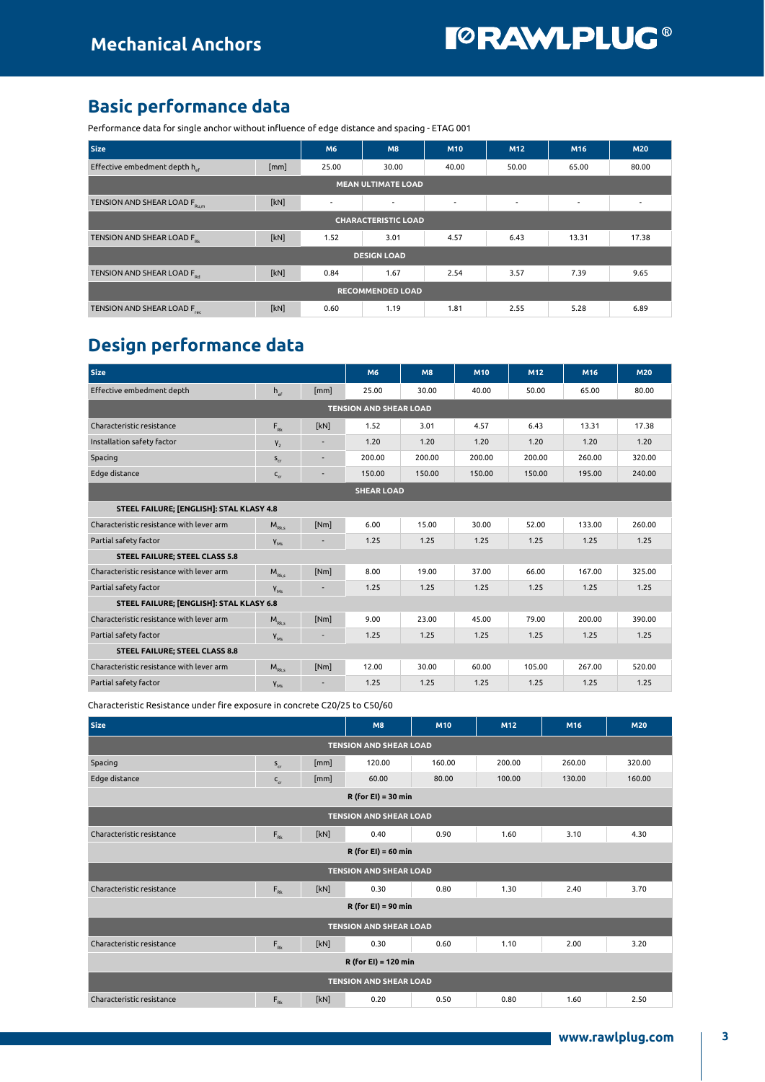### Basic performance data

Performance data for single anchor without influence of edge distance and spacing - ETAG 001

| <b>Size</b>                               |      | M <sub>6</sub>           | M <sub>8</sub>           | <b>M10</b>               | M12                      | M <sub>16</sub> | <b>M20</b> |  |  |  |
|-------------------------------------------|------|--------------------------|--------------------------|--------------------------|--------------------------|-----------------|------------|--|--|--|
| Effective embedment depth h <sub>ef</sub> | [mm] | 25.00                    | 30.00                    | 40.00                    | 50.00                    | 65.00           | 80.00      |  |  |  |
| <b>MEAN ULTIMATE LOAD</b>                 |      |                          |                          |                          |                          |                 |            |  |  |  |
| TENSION AND SHEAR LOAD FRUM               | [kN] | $\overline{\phantom{a}}$ | $\overline{\phantom{a}}$ | $\overline{\phantom{a}}$ | $\overline{\phantom{a}}$ | $\sim$          | $\sim$     |  |  |  |
| <b>CHARACTERISTIC LOAD</b>                |      |                          |                          |                          |                          |                 |            |  |  |  |
| TENSION AND SHEAR LOAD F <sub>ot</sub>    | [kN] | 1.52                     | 3.01                     | 4.57                     | 6.43                     | 13.31           | 17.38      |  |  |  |
| <b>DESIGN LOAD</b>                        |      |                          |                          |                          |                          |                 |            |  |  |  |
| TENSION AND SHEAR LOAD For                | [kN] | 0.84                     | 1.67                     | 2.54                     | 3.57                     | 7.39            | 9.65       |  |  |  |
| <b>RECOMMENDED LOAD</b>                   |      |                          |                          |                          |                          |                 |            |  |  |  |
| TENSION AND SHEAR LOAD F.                 | [kN] | 0.60                     | 1.19                     | 1.81                     | 2.55                     | 5.28            | 6.89       |  |  |  |

## Design performance data

| <b>Size</b>                              |              |      | M6                            | <b>M8</b> | M10    | M12    | M16    | <b>M20</b> |  |
|------------------------------------------|--------------|------|-------------------------------|-----------|--------|--------|--------|------------|--|
| Effective embedment depth                | $h_{\alpha}$ | [mm] | 25.00                         | 30.00     | 40.00  | 50.00  | 65.00  | 80.00      |  |
|                                          |              |      | <b>TENSION AND SHEAR LOAD</b> |           |        |        |        |            |  |
| Characteristic resistance                | $F_{Rk}$     | [kN] | 1.52                          | 3.01      | 4.57   | 6.43   | 13.31  | 17.38      |  |
| Installation safety factor               | $V_{2}$      | ÷    | 1.20                          | 1.20      | 1.20   | 1.20   | 1.20   | 1.20       |  |
| Spacing                                  | $S_{cr}$     | ۰    | 200.00                        | 200.00    | 200.00 | 200.00 | 260.00 | 320.00     |  |
| Edge distance                            | $C_{cr}$     | ÷    | 150.00                        | 150.00    | 150.00 | 150.00 | 195.00 | 240.00     |  |
| <b>SHEAR LOAD</b>                        |              |      |                               |           |        |        |        |            |  |
| STEEL FAILURE; [ENGLISH]: STAL KLASY 4.8 |              |      |                               |           |        |        |        |            |  |
| Characteristic resistance with lever arm | $M_{Rk,s}$   | [Nm] | 6.00                          | 15.00     | 30.00  | 52.00  | 133.00 | 260.00     |  |
| Partial safety factor                    | $V_{M5}$     |      | 1.25                          | 1.25      | 1.25   | 1.25   | 1.25   | 1.25       |  |
| <b>STEEL FAILURE; STEEL CLASS 5.8</b>    |              |      |                               |           |        |        |        |            |  |
| Characteristic resistance with lever arm | $M_{Rk s}$   | [Nm] | 8.00                          | 19.00     | 37.00  | 66.00  | 167.00 | 325.00     |  |
| Partial safety factor                    | $V_{M5}$     |      | 1.25                          | 1.25      | 1.25   | 1.25   | 1.25   | 1.25       |  |
| STEEL FAILURE; [ENGLISH]: STAL KLASY 6.8 |              |      |                               |           |        |        |        |            |  |
| Characteristic resistance with lever arm | $M_{Rk s}$   | [Nm] | 9.00                          | 23.00     | 45.00  | 79.00  | 200.00 | 390.00     |  |
| Partial safety factor                    | $Y_{M5}$     |      | 1.25                          | 1.25      | 1.25   | 1.25   | 1.25   | 1.25       |  |
| <b>STEEL FAILURE; STEEL CLASS 8.8</b>    |              |      |                               |           |        |        |        |            |  |
| Characteristic resistance with lever arm | $M_{Rks}$    | [Nm] | 12.00                         | 30.00     | 60.00  | 105.00 | 267.00 | 520.00     |  |
| Partial safety factor                    | $V_{M5}$     |      | 1.25                          | 1.25      | 1.25   | 1.25   | 1.25   | 1.25       |  |

Characteristic Resistance under fire exposure in concrete C20/25 to C50/60

| <b>Size</b>                   |              |      | <b>M8</b>                     | M10    | M12    | M16    | <b>M20</b> |  |  |  |
|-------------------------------|--------------|------|-------------------------------|--------|--------|--------|------------|--|--|--|
| <b>TENSION AND SHEAR LOAD</b> |              |      |                               |        |        |        |            |  |  |  |
| Spacing                       | $S_{cr}$     | [mm] | 120.00                        | 160.00 | 200.00 | 260.00 | 320.00     |  |  |  |
| Edge distance                 | $C_{cr}$     | [mm] | 60.00                         | 80.00  | 100.00 | 130.00 | 160.00     |  |  |  |
| $R$ (for EI) = 30 min         |              |      |                               |        |        |        |            |  |  |  |
| <b>TENSION AND SHEAR LOAD</b> |              |      |                               |        |        |        |            |  |  |  |
| Characteristic resistance     | $F_{\rm Rk}$ | [kN] | 0.40                          | 0.90   | 1.60   | 3.10   | 4.30       |  |  |  |
| $R$ (for EI) = 60 min         |              |      |                               |        |        |        |            |  |  |  |
| <b>TENSION AND SHEAR LOAD</b> |              |      |                               |        |        |        |            |  |  |  |
| Characteristic resistance     | $F_{Rk}$     | [kN] | 0.30                          | 0.80   | 1.30   | 2.40   | 3.70       |  |  |  |
|                               |              |      | $R$ (for EI) = 90 min         |        |        |        |            |  |  |  |
|                               |              |      | <b>TENSION AND SHEAR LOAD</b> |        |        |        |            |  |  |  |
| Characteristic resistance     | $F_{\rm pk}$ | [kN] | 0.30                          | 0.60   | 1.10   | 2.00   | 3.20       |  |  |  |
|                               |              |      | $R$ (for EI) = 120 min        |        |        |        |            |  |  |  |
|                               |              |      | <b>TENSION AND SHEAR LOAD</b> |        |        |        |            |  |  |  |
| Characteristic resistance     | $F_{\rm Rk}$ | [kN] | 0.20                          | 0.50   | 0.80   | 1.60   | 2.50       |  |  |  |